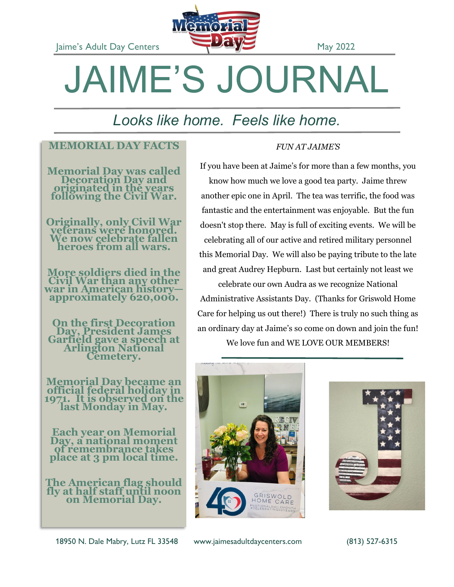Jaime's Adult Day Centers **May 2022** 



# JAIME'S JOURNAL

## *Looks like home. Feels like home.*

### **MEMORIAL DAY FACTS**

**Memorial Day was called Decoration Day and originated in the years following the Civil War.** 

**Originally, only Civil War veterans were honored. We now celebrate fallen heroes from all wars.**

**More soldiers died in the Civil War than any other war in American history approximately 620,000.**

**On the first Decoration Day, President James Garfield gave a speech at Arlington National Cemetery.** 

**Memorial Day became an official federal hol 1971. It is observed on the last Monday in May.**

**Each year on Memorial**  Day, a national m **of remembrance takes place at 3 pm local time.**

**The American flag should fly at half staff unti on Memorial Day.**

18950 N. Dale Mabry, Lutz FL 33548 www.jaimesadultdaycenters.com (813) 527-6315

*FUN AT JAIME'S*

If you have been at Jaime's for more than a few months, you know how much we love a good tea party. Jaime threw another epic one in April. The tea was terrific, the food was fantastic and the entertainment was enjoyable. But the fun doesn't stop there. May is full of exciting events. We will be celebrating all of our active and retired military personnel this Memorial Day. We will also be paying tribute to the late and great Audrey Hepburn. Last but certainly not least we celebrate our own Audra as we recognize National

Administrative Assistants Day. (Thanks for Griswold Home Care for helping us out there!) There is truly no such thing as an ordinary day at Jaime's so come on down and join the fun! We love fun and WE LOVE OUR MEMBERS!



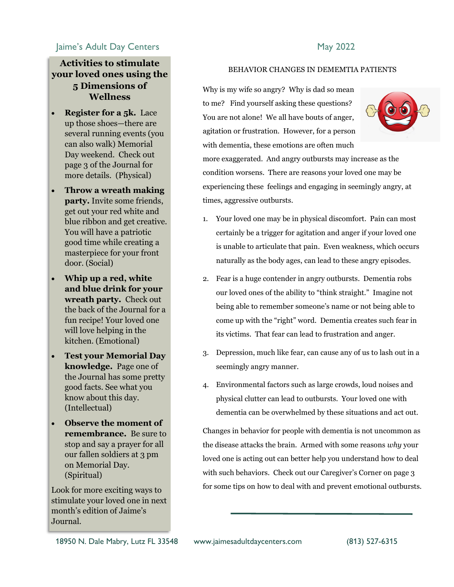#### Jaime's Adult Day Centers **May 2022**

#### **Activities to stimulate your loved ones using the 5 Dimensions of Wellness**

- **Register for a 5k.** Lace up those shoes—there are several running events (you can also walk) Memorial Day weekend. Check out page 3 of the Journal for more details. (Physical)
- **Throw a wreath making party.** Invite some friends, get out your red white and blue ribbon and get creative. You will have a patriotic good time while creating a masterpiece for your front door. (Social)
- **Whip up a red, white and blue drink for your wreath party.** Check out the back of the Journal for a fun recipe! Your loved one will love helping in the kitchen. (Emotional)
- **Test your Memorial Day knowledge.** Page one of the Journal has some pretty good facts. See what you know about this day. (Intellectual)
- **Observe the moment of remembrance.** Be sure to stop and say a prayer for all our fallen soldiers at 3 pm on Memorial Day. (Spiritual)

Look for more exciting ways to stimulate your loved one in next month's edition of Jaime's Journal.

#### BEHAVIOR CHANGES IN DEMEMTIA PATIENTS

Why is my wife so angry? Why is dad so mean to me? Find yourself asking these questions? You are not alone! We all have bouts of anger, agitation or frustration. However, for a person with dementia, these emotions are often much



more exaggerated. And angry outbursts may increase as the condition worsens. There are reasons your loved one may be experiencing these feelings and engaging in seemingly angry, at times, aggressive outbursts.

- 1. Your loved one may be in physical discomfort. Pain can most certainly be a trigger for agitation and anger if your loved one is unable to articulate that pain. Even weakness, which occurs naturally as the body ages, can lead to these angry episodes.
- 2. Fear is a huge contender in angry outbursts. Dementia robs our loved ones of the ability to "think straight." Imagine not being able to remember someone's name or not being able to come up with the "right" word. Dementia creates such fear in its victims. That fear can lead to frustration and anger.
- 3. Depression, much like fear, can cause any of us to lash out in a seemingly angry manner.
- 4. Environmental factors such as large crowds, loud noises and physical clutter can lead to outbursts. Your loved one with dementia can be overwhelmed by these situations and act out.

Changes in behavior for people with dementia is not uncommon as the disease attacks the brain. Armed with some reasons *why* your loved one is acting out can better help you understand how to deal with such behaviors. Check out our Caregiver's Corner on page 3 for some tips on how to deal with and prevent emotional outbursts.

18950 N. Dale Mabry, Lutz FL 33548 www.jaimesadultdaycenters.com (813) 527-6315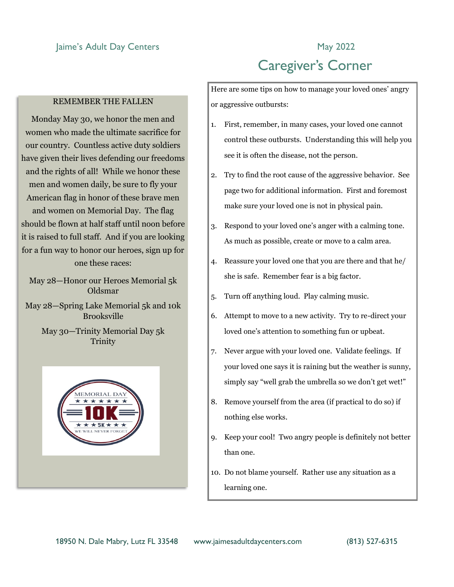#### Jaime's Adult Day Centers **May 2022**

#### REMEMBER THE FALLEN

Monday May 30, we honor the men and women who made the ultimate sacrifice for our country. Countless active duty soldiers have given their lives defending our freedoms and the rights of all! While we honor these men and women daily, be sure to fly your American flag in honor of these brave men and women on Memorial Day. The flag should be flown at half staff until noon before it is raised to full staff. And if you are looking for a fun way to honor our heroes, sign up for one these races:

May 28—Honor our Heroes Memorial 5k Oldsmar

May 28—Spring Lake Memorial 5k and 10k Brooksville

> May 30—Trinity Memorial Day 5k **Trinity**



## Caregiver's Corner

Here are some tips on how to manage your loved ones' angry or aggressive outbursts:

- 1. First, remember, in many cases, your loved one cannot control these outbursts. Understanding this will help you see it is often the disease, not the person.
- 2. Try to find the root cause of the aggressive behavior. See page two for additional information. First and foremost make sure your loved one is not in physical pain.
- 3. Respond to your loved one's anger with a calming tone. As much as possible, create or move to a calm area.
- 4. Reassure your loved one that you are there and that he/ she is safe. Remember fear is a big factor.
- 5. Turn off anything loud. Play calming music.
- 6. Attempt to move to a new activity. Try to re-direct your loved one's attention to something fun or upbeat.
- 7. Never argue with your loved one. Validate feelings. If your loved one says it is raining but the weather is sunny, simply say "well grab the umbrella so we don't get wet!"
- 8. Remove yourself from the area (if practical to do so) if nothing else works.
- 9. Keep your cool! Two angry people is definitely not better than one.
- 10. Do not blame yourself. Rather use any situation as a learning one.